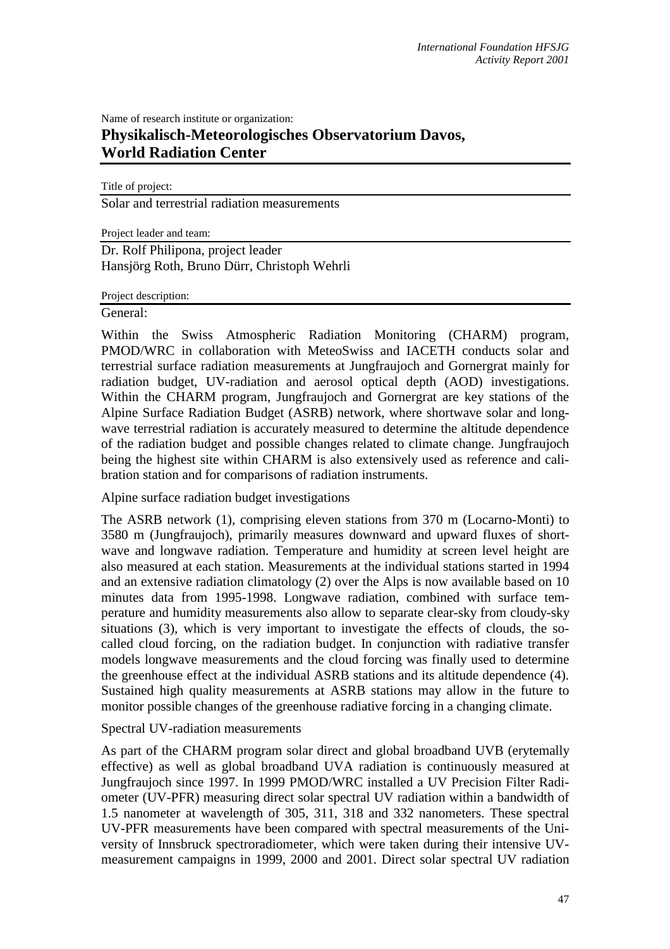## Name of research institute or organization: **Physikalisch-Meteorologisches Observatorium Davos, World Radiation Center**

Title of project:

Solar and terrestrial radiation measurements

Project leader and team:

Dr. Rolf Philipona, project leader Hansjörg Roth, Bruno Dürr, Christoph Wehrli

Project description:

General:

Within the Swiss Atmospheric Radiation Monitoring (CHARM) program, PMOD/WRC in collaboration with MeteoSwiss and IACETH conducts solar and terrestrial surface radiation measurements at Jungfraujoch and Gornergrat mainly for radiation budget, UV-radiation and aerosol optical depth (AOD) investigations. Within the CHARM program, Jungfraujoch and Gornergrat are key stations of the Alpine Surface Radiation Budget (ASRB) network, where shortwave solar and longwave terrestrial radiation is accurately measured to determine the altitude dependence of the radiation budget and possible changes related to climate change. Jungfraujoch being the highest site within CHARM is also extensively used as reference and calibration station and for comparisons of radiation instruments.

Alpine surface radiation budget investigations

The ASRB network (1), comprising eleven stations from 370 m (Locarno-Monti) to 3580 m (Jungfraujoch), primarily measures downward and upward fluxes of shortwave and longwave radiation. Temperature and humidity at screen level height are also measured at each station. Measurements at the individual stations started in 1994 and an extensive radiation climatology (2) over the Alps is now available based on 10 minutes data from 1995-1998. Longwave radiation, combined with surface temperature and humidity measurements also allow to separate clear-sky from cloudy-sky situations (3), which is very important to investigate the effects of clouds, the socalled cloud forcing, on the radiation budget. In conjunction with radiative transfer models longwave measurements and the cloud forcing was finally used to determine the greenhouse effect at the individual ASRB stations and its altitude dependence (4). Sustained high quality measurements at ASRB stations may allow in the future to monitor possible changes of the greenhouse radiative forcing in a changing climate.

Spectral UV-radiation measurements

As part of the CHARM program solar direct and global broadband UVB (erytemally effective) as well as global broadband UVA radiation is continuously measured at Jungfraujoch since 1997. In 1999 PMOD/WRC installed a UV Precision Filter Radiometer (UV-PFR) measuring direct solar spectral UV radiation within a bandwidth of 1.5 nanometer at wavelength of 305, 311, 318 and 332 nanometers. These spectral UV-PFR measurements have been compared with spectral measurements of the University of Innsbruck spectroradiometer, which were taken during their intensive UVmeasurement campaigns in 1999, 2000 and 2001. Direct solar spectral UV radiation